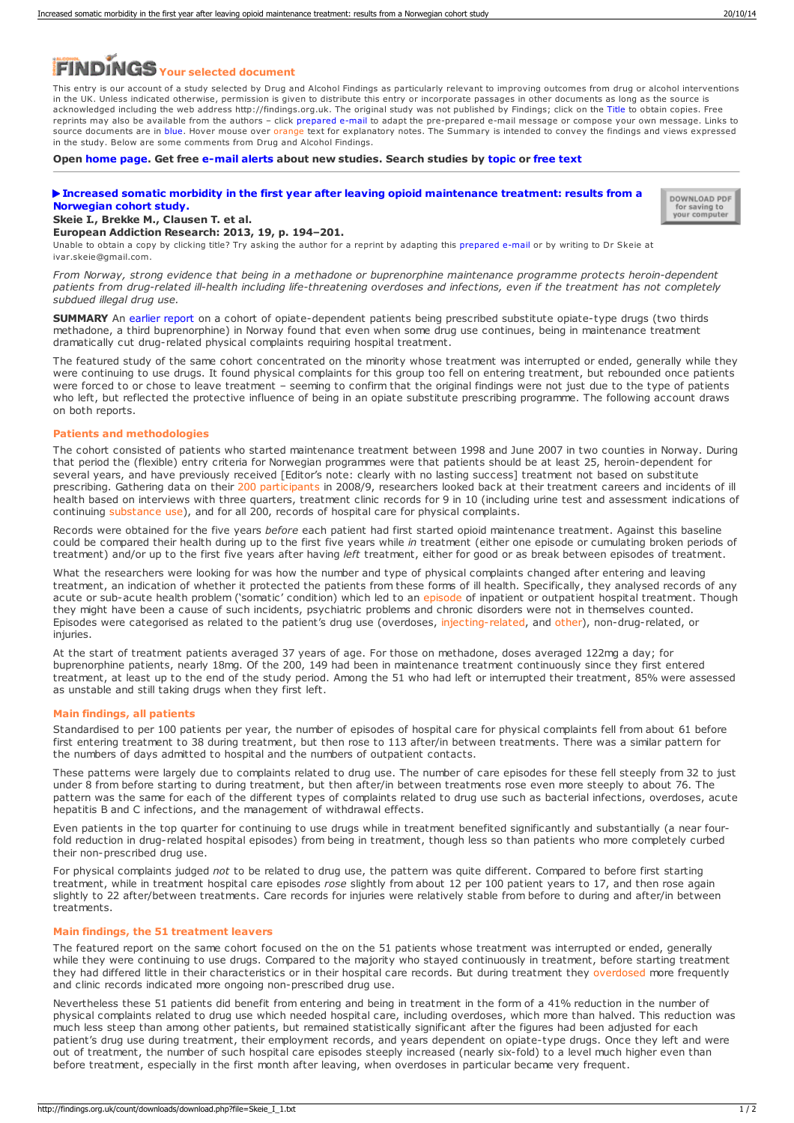# **Your selected document**

This entry is our account of a study selected by Drug and Alcohol Findings as particularly relevant to improving outcomes from drug or alcohol interventions in the UK. Unless indicated otherwise, permission is given to distribute this entry or incorporate passages in other documents as long as the source is acknowledged including the web address http://findings.org.uk. The original study was not published by Findings; click on the Title to obtain copies. Free reprints may also be available from the authors – click prepared e-mail to adapt the pre-prepared e-mail message or compose your own message. Links to source documents are in blue. Hover mouse over orange text for explanatory notes. The Summary is intended to convey the findings and views expressed in the study. Below are some comments from Drug and Alcohol Findings.

**Open [home](https://findings.org.uk/index.php) page. Get free [e-mail](https://findings.org.uk/index.php#signUp) alerts about new studies. Search studies by [topic](https://findings.org.uk/topic_search.htm) or [free](https://findings.org.uk/free_search.htm) text**

# **Increased somatic morbidity in the first year after leaving opioid [maintenance](http://dx.doi.org/10.1159/000345229) treatment: results from a Norwegian cohort study.**



#### **Skeie I., Brekke M., Clausen T. et al. European Addiction Research: 2013, 19, p. 194–201.**

Unable to obtain a copy by clicking title? Try asking the author for a reprint by adapting this [prepared](mailto:ivar.skeie@gmail.com?Subject=Reprint request&body=Dear Dr Skeie%0A%0AOn the Drug and Alcohol Findings web site (https://findings.org.uk) I read about your article:%0ASkeie I., Brekke M., Clausen T. et al. Increased somatic morbidity in the first year after leaving opioid maintenance treatment: results from a Norwegian cohort study. European Addiction Research: 2013, 19, p. 194-201.%0A%0AWould it be possible to for me to be sent a PDF reprint or the manuscript by replying to this e-mail?%0A) e-mail or by writing to Dr Skeie at ivar.skeie@gmail.com.

*From Norway, strong evidence that being in a methadone or buprenorphine maintenance programme protects heroin-dependent* patients from drug-related ill-health including life-threatening overdoses and infections, even if the treatment has not completely *subdued illegal drug use.*

**SUMMARY** An [earlier](http://dx.doi.org/10.1136/bmjopen-2011-000130) report on a cohort of opiate-dependent patients being prescribed substitute opiate-type drugs (two thirds methadone, a third buprenorphine) in Norway found that even when some drug use continues, being dramatically cut drug-related physical complaints requiring hospital treatment.

The featured study of the same cohort concentrated on the minority whose treatment was interrupted or ended, generally while they were continuing to use drugs. It found physical complaints for this group too fell on entering treatment, but rebounded once patients were forced to or chose to leave treatment – seeming to confirm that the original findings were not just due to the type of patients who left, but reflected the protective influence of being in an opiate substitute prescribing programme. The following account draws on both reports.

#### **Patients and methodologies**

The cohort consisted of patients who started maintenance treatment between 1998 and June 2007 in two counties in Norway. During that period the (flexible) entry criteria for Norwegian programmes were that patients should be at least 25, heroin-dependent for several years, and have previously received [Editor's note: clearly with no lasting success] treatment not based on substitute prescribing. Gathering data on their 200 participants in 2008/9, researchers looked back at their treatment careers and incidents of ill health based on interviews with three quarters, treatment clinic records for 9 in 10 (including urine test and assessment indications of continuing substance use), and for all 200, records of hospital care for physical complaints.

Records were obtained for the five years *before* each patient had first started opioid maintenance treatment. Against this baseline could be compared their health during up to the first five years while *in* treatment (either one episode or cumulating broken periods of treatment) and/or up to the first five years after having *left* treatment, either for good or as break between episodes of treatment.

What the researchers were looking for was how the number and type of physical complaints changed after entering and leaving treatment, an indication of whether it protected the patients from these forms of ill health. Specifically, they analysed records of any acute or sub-acute health problem ('somatic' condition) which led to an episode of inpatient or outpatient hospital treatment. Though they might have been a cause of such incidents, psychiatric problems and chronic disorders were not in themselves counted. Episodes were categorised as related to the patient's drug use (overdoses, injecting-related, and other), non-drug-related, or injuries.

At the start of treatment patients averaged 37 years of age. For those on methadone, doses averaged 122mg a day; for buprenorphine patients, nearly 18mg. Of the 200, 149 had been in maintenance treatment continuously since they first entered treatment, at least up to the end of the study period. Among the 51 who had left or interrupted their treatment, 85% were assessed as unstable and still taking drugs when they first left.

#### **Main findings, all patients**

Standardised to per 100 patients per year, the number of episodes of hospital care for physical complaints fell from about 61 before first entering treatment to 38 during treatment, but then rose to 113 after/in between treatments. There was a similar pattern for the numbers of days admitted to hospital and the numbers of outpatient contacts.

These patterns were largely due to complaints related to drug use. The number of care episodes for these fell steeply from 32 to just under 8 from before starting to during treatment, but then after/in between treatments rose even more steeply to about 76. The pattern was the same for each of the different types of complaints related to drug use such as bacterial infections, overdoses, acute hepatitis B and C infections, and the management of withdrawal effects.

Even patients in the top quarter for continuing to use drugs while in treatment benefited significantly and substantially (a near fourfold reduction in drug-related hospital episodes) from being in treatment, though less so than patients who more completely curbed their non-prescribed drug use.

For physical complaints judged *not* to be related to drug use, the pattern was quite different. Compared to before first starting treatment, while in treatment hospital care episodes *rose* slightly from about 12 per 100 patient years to 17, and then rose again slightly to 22 after/between treatments. Care records for injuries were relatively stable from before to during and after/in between treatments.

## **Main findings, the 51 treatment leavers**

The featured report on the same cohort focused on the on the 51 patients whose treatment was interrupted or ended, generally while they were continuing to use drugs. Compared to the majority who stayed continuously in treatment, before starting treatment they had differed little in their characteristics or in their hospital care records. But during treatment they overdosed more frequently and clinic records indicated more ongoing non-prescribed drug use.

Nevertheless these 51 patients did benefit from entering and being in treatment in the form of a 41% reduction in the number of physical complaints related to drug use which needed hospital care, including overdoses, which more than halved. This reduction was<br>much less steep than among other patients, but remained statistically significant after th patient's drug use during treatment, their employment records, and years dependent on opiate-type drugs. Once they left and were out of treatment, the number of such hospital care episodes steeply increased (nearly six-fold) to a level much higher even than before treatment, especially in the first month after leaving, when overdoses in particular became very frequent.